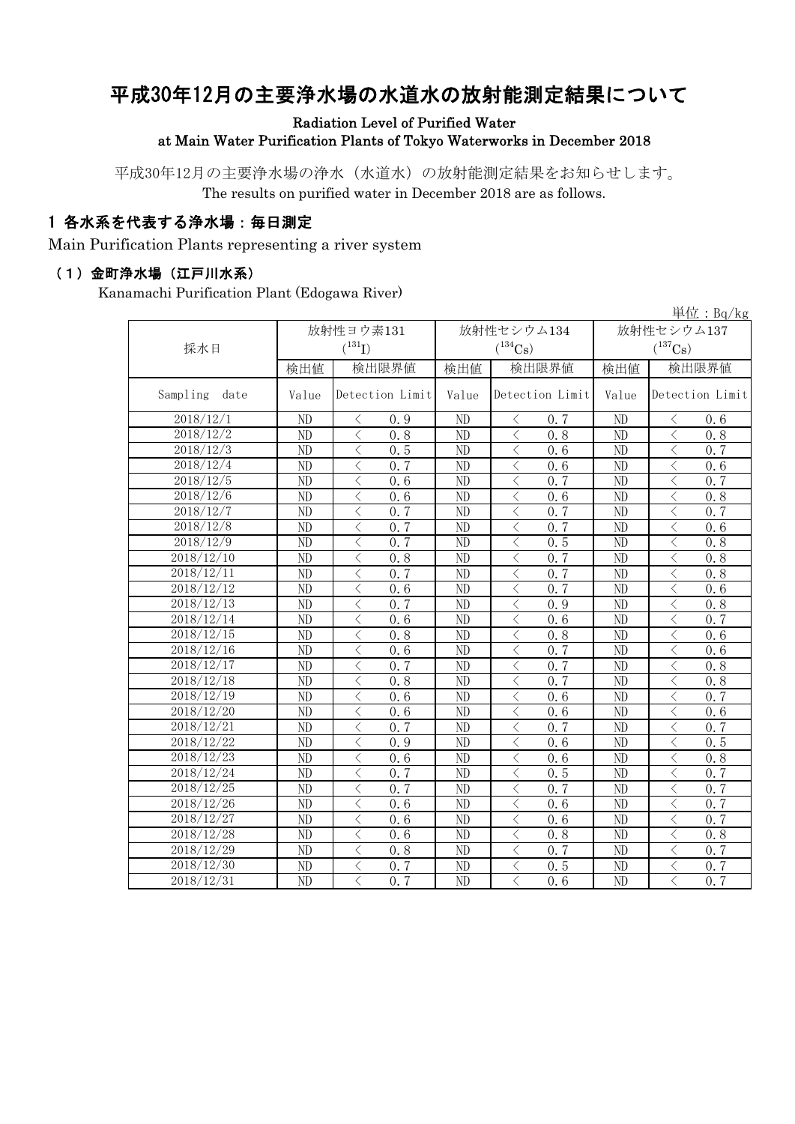# 平成30年12月の主要浄水場の水道水の放射能測定結果について

#### Radiation Level of Purified Water at Main Water Purification Plants of Tokyo Waterworks in December 2018

平成30年12月の主要浄水場の浄水(水道水)の放射能測定結果をお知らせします。 The results on purified water in December 2018 are as follows.

### 1 各水系を代表する浄水場:毎日測定

Main Purification Plants representing a river system

#### (1)金町浄水場(江戸川水系)

Kanamachi Purification Plant (Edogawa River)

|                         |       |                                                 |       |                               |                       | 単位: $Bq/kg$                   |  |
|-------------------------|-------|-------------------------------------------------|-------|-------------------------------|-----------------------|-------------------------------|--|
|                         |       | 放射性ヨウ素131                                       |       | 放射性セシウム134                    | 放射性セシウム137            |                               |  |
| 採水日                     |       | $({}^{131}\mathrm{I})$                          |       | $(^{134}\mathrm{Cs})$         | $(^{137}\mathrm{Cs})$ |                               |  |
|                         | 検出値   | 検出限界値                                           | 検出値   | 検出限界値                         | 検出限界値<br>検出値          |                               |  |
| Sampling<br>date        | Value | Detection Limit                                 | Value | Detection Limit               | Value                 | Detection Limit               |  |
| 2018/12/1               | ND    | $\langle$<br>0.9                                | ND    | $\lt$<br>0.7                  | ND                    | $\langle$<br>0.6              |  |
| 2018/12/2               | ND    | $\lt$<br>0.8                                    | ND    | $\lt$<br>0, 8                 | ND                    | $\langle$<br>0, 8             |  |
| 2018/12/3               | ND    | $\lt$<br>0.5                                    | ND    | $\langle$<br>0.6              | ND                    | $\lt$<br>0, 7                 |  |
| 2018/12/4               | ND    | $\langle$<br>0, 7                               | ND    | $\langle$<br>0.6              | ND                    | $\lt$<br>0.6                  |  |
| 2018/12/5               | ND    | $\langle$<br>0.6                                | ND    | $\lt$<br>0.7                  | ND                    | $\lt$<br>0, 7                 |  |
| 2018/12/6               | ND    | $\langle$<br>0.6                                | ND    | 0.6<br>く                      | ND                    | $\lt$<br>0.8                  |  |
| 2018/12/7               | ND    | $\langle$<br>0, 7                               | ND    | 0.7<br>$\lt$                  | ND                    | 0.7<br>$\lt$                  |  |
| 2018/12/8               | ND    | $\lt$<br>0, 7                                   | ND    | 0.7<br>$\lt$                  | ND                    | $\lt$<br>0.6                  |  |
| 2018/12/9               | ND    | $\langle$<br>0, 7                               | ND    | 0.5<br>$\lt$                  | ND                    | $\lt$<br>0.8                  |  |
| $2018/12/\overline{10}$ | ND    | $\lt$<br>0.8                                    | ND    | 0.7<br>$\langle$              | ND                    | $\lt$<br>0.8                  |  |
| 2018/12/11              | ND    | $\lt$<br>0, 7                                   | ND    | $\langle$<br>0.7              | ND                    | $\lt$<br>0.8                  |  |
| 2018/12/12              | ND    | $\lt$<br>0.6                                    | ND    | $\langle$<br>0, 7             | ND                    | $\lt$<br>0.6                  |  |
| 2018/12/13              | ND    | $\langle$<br>0, 7                               | ND    | $\lt$<br>0.9                  | ND                    | $\lt$<br>0.8                  |  |
| 2018/12/14              | ND    | $\langle$<br>0, 6                               | ND    | $\overline{\langle}$<br>0.6   | ND                    | $\langle$<br>$0.\overline{7}$ |  |
| 2018/12/15              | ND    | $\langle$<br>0.8                                | ND    | $\langle$<br>0.8              | ND                    | $\langle$<br>0, 6             |  |
| 2018/12/16              | ND    | $\lt$<br>0.6                                    | ND    | $\langle$<br>0.7              | ND                    | $\langle$<br>0, 6             |  |
| 2018/12/17              | ND    | $\langle$<br>0, 7                               | ND    | $\langle$<br>0.7              | ND                    | 0.8<br>$\lt$                  |  |
| 2018/12/18              | ND    | $\langle$<br>0.8                                | ND    | $\langle$<br>0.7              | ND                    | $\langle$<br>0.8              |  |
| 2018/12/19              | ND    | $\overline{\left\langle \right\rangle }$<br>0.6 | ND    | $\langle$<br>0.6              | ND                    | $\langle$<br>0, 7             |  |
| 2018/12/20              | ND    | $\lt$<br>0, 6                                   | ND    | $\langle$<br>0.6              | ND                    | $\langle$<br>0, 6             |  |
| $2018/12\overline{21}$  | ND    | $\langle$<br>0, 7                               | ND    | $0.\overline{7}$<br>$\langle$ | ND                    | 0, 7<br>$\langle$             |  |
| 2018/12/22              | ND    | $\lt$<br>0.9                                    | ND    | $\lt$<br>0.6                  | ND                    | $\lt$<br>0.5                  |  |
| $2018/\overline{12/23}$ | ND    | $\lt$<br>0.6                                    | ND    | $\langle$<br>0.6              | ND                    | 0.8<br>$\lt$                  |  |
| 2018/12/24              | ND    | $\langle$<br>0.7                                | ND    | $\lt$<br>0.5                  | ND                    | 0, 7<br>$\lt$                 |  |
| 2018/12/25              | ND    | $\langle$<br>0.7                                | ND    | $\langle$<br>0.7              | ND                    | 0.7<br>$\lt$                  |  |
| 2018/12/26              | ND    | $\lt$<br>0.6                                    | ND    | $\lt$<br>0.6                  | ND                    | 0.7<br>$\lt$                  |  |
| 2018/12/27              | ND    | $\lt$<br>0.6                                    | ND    | $\langle$<br>0.6              | ND                    | 0.7<br>$\langle$              |  |
| 2018/12/28              | ND    | $\langle$<br>0.6                                | ND    | $\overline{\langle}$<br>0.8   | ND                    | $\overline{\langle}$<br>0.8   |  |
| 2018/12/29              | ND    | $\lt$<br>0.8                                    | ND    | $\overline{\langle}$<br>0.7   | ND                    | $\lt$<br>0.7                  |  |
| 2018/12/30              | ND    | $\langle$<br>0.7                                | ND    | $\overline{\langle}$<br>0.5   | ND                    | $\langle$<br>0.7              |  |
| 2018/12/31              | ND    | $\lt$<br>0.7                                    | ND    | $\lt$<br>0.6                  | ND                    | $\langle$<br>0, 7             |  |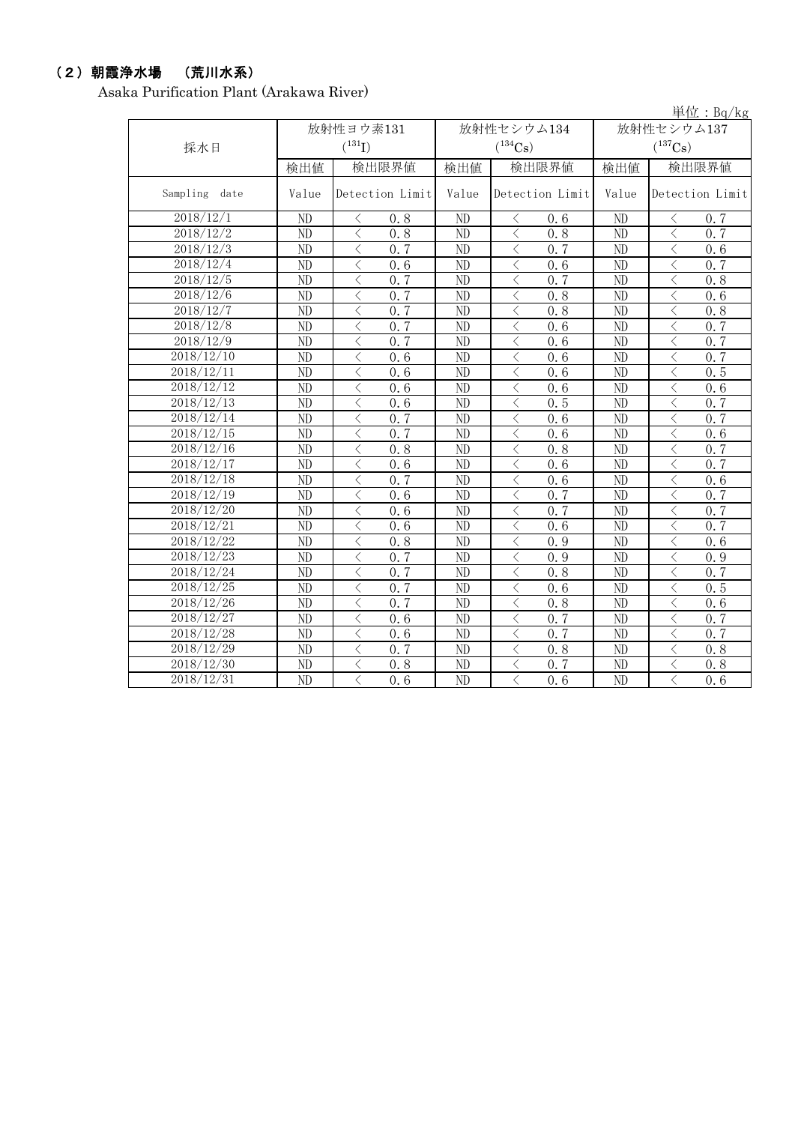# (2)朝霞浄水場 (荒川水系)

Asaka Purification Plant (Arakawa River)

|                         |                        |                                                  |                |                               |                        | 単位: $Bq/kg$                   |  |
|-------------------------|------------------------|--------------------------------------------------|----------------|-------------------------------|------------------------|-------------------------------|--|
|                         |                        | 放射性ヨウ素131                                        |                | 放射性セシウム134                    | 放射性セシウム137             |                               |  |
| 採水日                     |                        | $(^{131}I)$                                      |                | $(^{137}\mathrm{Cs})$         |                        |                               |  |
|                         | 検出値                    | 検出限界値                                            | 検出値            | 検出限界値                         | 検出値                    | 検出限界値                         |  |
| Sampling<br>date        | Value                  | Detection Limit                                  | Value          | Detection Limit               | Value                  | Detection Limit               |  |
| 2018/12/1               | ND                     | $\langle$<br>0.8                                 | ND             | 0.6<br>$\langle$              | ND                     | $\langle$<br>0, 7             |  |
| 2018/12/2               | ND                     | 0.8<br>$\langle$                                 | ND             | $\langle$<br>0.8              | ND                     | $\lt$<br>0, 7                 |  |
| 2018/12/3               | ND                     | $\langle$<br>0, 7                                | N <sub>D</sub> | $\langle$<br>0, 7             | ND                     | $\lt$<br>0, 6                 |  |
| 2018/12/4               | ND                     | $\langle$<br>0.6                                 | ND             | $\langle$<br>0.6              | ND                     | $\lt$<br>0.7                  |  |
| 2018/12/5               | ND                     | 0, 7<br>$\langle$                                | ND             | $\langle$<br>0, 7             | ND                     | $\lt$<br>0.8                  |  |
| 2018/12/6               | ND                     | $\lt$<br>0.7                                     | ND             | $\langle$<br>0.8              | ND                     | $\lt$<br>0.6                  |  |
| 2018/12/7               | $\overline{ND}$        | $\langle$<br>0.7                                 | ND             | $\langle$<br>$\overline{0.8}$ | ND                     | $\lt$<br>0, 8                 |  |
| 2018/12/8               | ND                     | $\lt$<br>$\overline{0.7}$                        | ND             | $\langle$<br>0.6              | ND                     | $\lt$<br>0.7                  |  |
| 2018/12/9               | ND                     | $\lt$<br>0, 7                                    | ND             | $\langle$<br>0.6              | ND                     | $\langle$<br>0.7              |  |
| 2018/12/10              | ND                     | $\langle$<br>0.6                                 | N <sub>D</sub> | $\langle$<br>0.6              | N <sub>D</sub>         | $\langle$<br>0.7              |  |
| 2018/12/11              | $\overline{ND}$        | $\langle$<br>0.6                                 | ND             | $\lt$<br>0.6                  | ND                     | $\langle$<br>$\overline{0.5}$ |  |
| 2018/12/12              | $\overline{\text{ND}}$ | $\langle$<br>0.6                                 | ND             | $\langle$<br>0.6              | $\overline{\text{ND}}$ | $\overline{\langle}$<br>0.6   |  |
| $20\overline{18/12/13}$ | ND                     | $\overline{\left\langle \right\rangle }$<br>0, 6 | ND             | $\langle$<br>0.5              | N <sub>D</sub>         | $\langle$<br>0.7              |  |
| 2018/12/14              | ND                     | $\langle$<br>0, 7                                | ND             | $\langle$<br>0, 6             | N <sub>D</sub>         | $\langle$<br>0, 7             |  |
| 2018/12/15              | ND                     | $\langle$<br>0, 7                                | ND             | $\langle$<br>0.6              | ND                     | $\lt$<br>0, 6                 |  |
| 2018/12/16              | ND                     | $\langle$<br>0.8                                 | ND             | $\lt$<br>0.8                  | ND                     | $\langle$<br>0.7              |  |
| 2018/12/17              | ND                     | $\langle$<br>0.6                                 | ND             | $\langle$<br>0.6              | ND                     | $\langle$<br>0.7              |  |
| 2018/12/18              | ND                     | 0.7<br>$\langle$                                 | ND             | $\langle$<br>0, 6             | ND                     | $\lt$<br>0, 6                 |  |
| 2018/12/19              | ND                     | $\langle$<br>0.6                                 | ND             | $\langle$<br>0.7              | ND                     | $\lt$<br>0, 7                 |  |
| 2018/12/20              | ND                     | $\langle$<br>0, 6                                | ND             | $\langle$<br>0, 7             | ND                     | $\lt$<br>0, 7                 |  |
| 2018/12/21              | ND                     | $\langle$<br>0.6                                 | ND             | $\langle$<br>0.6              | ND                     | $\lt$<br>0.7                  |  |
| 2018/12/22              | ND                     | $\langle$<br>0.8                                 | ND             | $\lt$<br>0.9                  | ND                     | $\lt$<br>0.6                  |  |
| 2018/12/23              | ND                     | 0, 7<br>$\langle$                                | ND             | 0.9<br>$\langle$              | ND                     | $\lt$<br>0.9                  |  |
| 2018/12/24              | ND                     | $\lt$<br>0.7                                     | ND             | $\langle$<br>0.8              | ND                     | $\langle$<br>0.7              |  |
| 2018/12/25              | ND                     | $\langle$<br>0, 7                                | ND             | $\langle$<br>0.6              | ND                     | $\langle$<br>0.5              |  |
| 2018/12/26              | ND                     | $\lt$<br>0, 7                                    | ND             | $\,$ $\,$ $\,$<br>0.8         | ND                     | $\langle$<br>0.6              |  |
| 2018/12/27              | ND                     | $\lt$<br>0.6                                     | ND             | $\lt$<br>0, 7                 | ND                     | $\langle$<br>0, 7             |  |
| 2018/12/28              | ND                     | $\langle$<br>0.6                                 | ND             | $\langle$<br>0.7              | ND                     | $\lt$<br>0, 7                 |  |
| 2018/12/29              | ND                     | 0, 7<br>$\langle$                                | ND             | $\lt$<br>0.8                  | ND                     | $\langle$<br>0.8              |  |
| 2018/12/30              | ND                     | $\langle$<br>0.8                                 | ND             | $\langle$<br>0.7              | ND                     | $\lt$<br>0.8                  |  |
| 2018/12/31              | $\overline{ND}$        | $\langle$<br>$\overline{0.6}$                    | ND             | $\langle$<br>$0.\overline{6}$ | ND                     | $\langle$<br>$\overline{0.6}$ |  |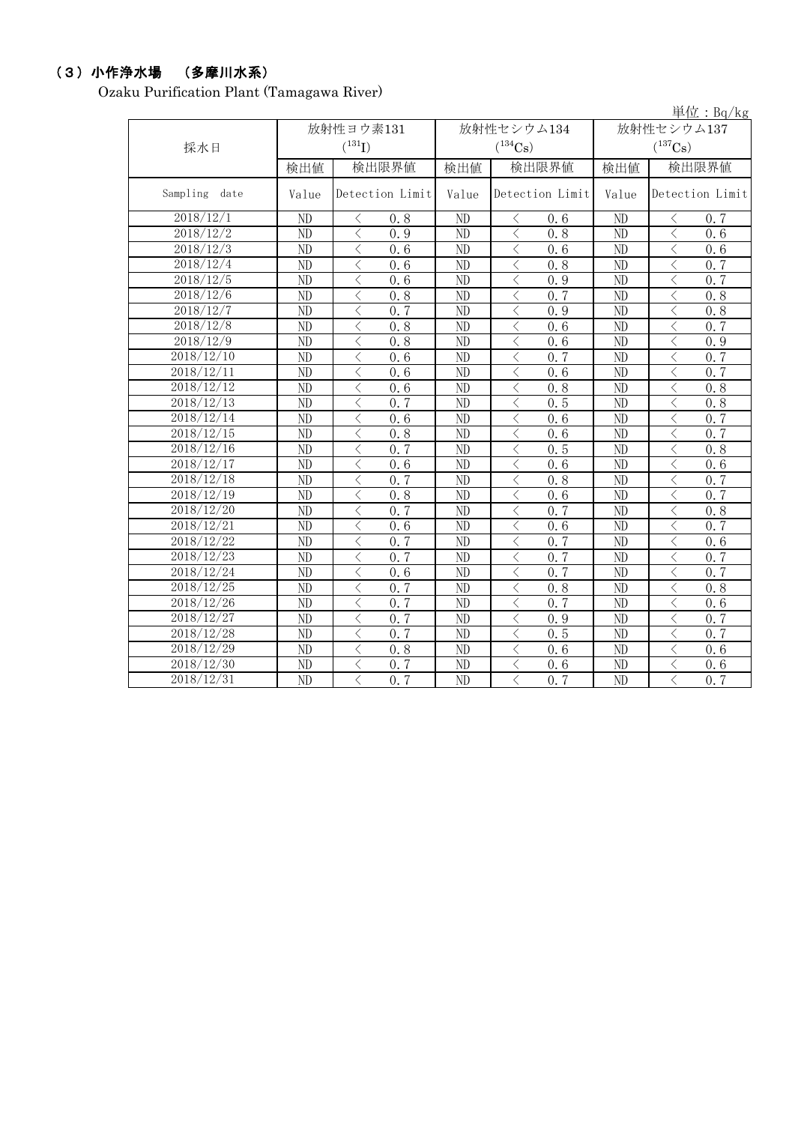## (3)小作浄水場 (多摩川水系)

Ozaku Purification Plant (Tamagawa River)

|                  |                 |                                          |                 |                 |            |                 |                       |                      | 単位: $Bq/kg$       |  |
|------------------|-----------------|------------------------------------------|-----------------|-----------------|------------|-----------------|-----------------------|----------------------|-------------------|--|
|                  |                 | 放射性ヨウ素131                                |                 |                 | 放射性セシウム134 |                 | 放射性セシウム137            |                      |                   |  |
| 採水日              |                 | $(^{131}I)$                              |                 | $(^{134}Cs)$    |            |                 | $(^{137}\mathrm{Cs})$ |                      |                   |  |
|                  | 検出値             | 検出限界値                                    |                 | 検出値             |            | 検出限界値           | 検出値                   |                      | 検出限界値             |  |
| Sampling<br>date | Value           |                                          | Detection Limit | Value           |            | Detection Limit | Value                 |                      | Detection Limit   |  |
| 2018/12/1        | ND              | く                                        | 0.8             | ND              | ⟨          | 0.6             | ND                    | ⟨                    | 0, 7              |  |
| 2018/12/2        | ND              | $\lt$                                    | 0.9             | ND              | $\lt$      | 0.8             | ND                    | $\langle$            | 0.6               |  |
| 2018/12/3        | ND              | $\lt$                                    | 0.6             | ND              | $\langle$  | 0.6             | $\overline{ND}$       | $\lt$                | 0.6               |  |
| 2018/12/4        | ND              | $\lt$                                    | 0.6             | ND              | $\langle$  | 0.8             | ND                    | $\lt$                | 0, 7              |  |
| 2018/12/5        | ND              | $\lt$                                    | 0.6             | ND              | $\langle$  | 0.9             | ND                    | $\lt$                | 0, 7              |  |
| 2018/12/6        | ND              | $\lt$                                    | 0.8             | ND              | $\langle$  | 0, 7            | ND                    | $\lt$                | 0.8               |  |
| 2018/12/7        | ND              | $\lt$                                    | 0, 7            | N <sub>D</sub>  | $\langle$  | 0.9             | ND                    | $\lt$                | 0, 8              |  |
| 2018/12/8        | ND              | $\lt$                                    | 0.8             | ND              | $\langle$  | 0.6             | $\overline{ND}$       | $\langle$            | 0, 7              |  |
| 2018/12/9        | $\overline{ND}$ | $\langle$                                | 0.8             | $\overline{ND}$ | $\langle$  | 0.6             | $\overline{ND}$       | $\langle$            | 0.9               |  |
| 2018/12/10       | ND              | $\lt$                                    | 0.6             | N <sub>D</sub>  | $\langle$  | 0, 7            | ND                    | $\langle$            | 0, 7              |  |
| 2018/12/11       | ND              | $\langle$                                | 0.6             | $\overline{ND}$ | $\langle$  | 0.6             | $\overline{ND}$       | $\langle$            | 0, 7              |  |
| 2018/12/12       | $\overline{ND}$ | $\overline{\left\langle \right\rangle }$ | 0.6             | $\overline{ND}$ | $\langle$  | 0.8             | $\overline{ND}$       | $\langle$            | 0.8               |  |
| 2018/12/13       | ND              | $\langle$                                | 0.7             | ND              | $\langle$  | 0.5             | ND                    | $\langle$            | 0, 8              |  |
| 2018/12/14       | ND              | $\lt$                                    | 0.6             | ND              | $\langle$  | 0.6             | ND                    | $\langle$            | 0.7               |  |
| 2018/12/15       | ND              | $\lt$                                    | 0.8             | ND              | $\lt$      | 0.6             | ND                    | $\lt$                | $0, \overline{7}$ |  |
| 2018/12/16       | ND              | $\lt$                                    | 0, 7            | ND              | $\langle$  | 0.5             | ND                    | $\langle$            | 0, 8              |  |
| 2018/12/17       | ND              | $\lt$                                    | 0.6             | ND              | $\langle$  | 0.6             | ND                    | $\lt$                | 0.6               |  |
| 2018/12/18       | ND              | $\lt$                                    | 0, 7            | ND              | $\lt$      | 0.8             | ND                    | $\lt$                | 0, 7              |  |
| 2018/12/19       | ND              | $\lt$                                    | 0, 8            | ND              | $\lt$      | 0, 6            | ND                    | $\lt$                | 0.7               |  |
| 2018/12/20       | ND              | $\lt$                                    | 0.7             | ND              | $\langle$  | 0, 7            | ND                    | $\lt$                | 0.8               |  |
| 2018/12/21       | ND              | $\lt$                                    | 0.6             | ND              | $\langle$  | 0.6             | ND                    | $\lt$                | 0, 7              |  |
| 2018/12/22       | ND              | $\lt$                                    | 0, 7            | ND              | $\lt$      | 0, 7            | ND                    | $\langle$            | 0.6               |  |
| 2018/12/23       | ND              | $\langle$                                | 0, 7            | ND              | $\langle$  | 0.7             | ND                    | $\overline{\langle}$ | 0, 7              |  |
| 2018/12/24       | ND              | $\lt$                                    | 0.6             | ND              | $\langle$  | 0.7             | ND                    | $\langle$            | 0, 7              |  |
| 2018/12/25       | ND              | $\lt$                                    | 0, 7            | ND              | $\lt$      | 0.8             | ND                    | $\langle$            | 0.8               |  |
| 2018/12/26       | ND              | $\lt$                                    | 0, 7            | ND              | $\lt$      | 0.7             | ND                    | $\langle$            | 0, 6              |  |
| 2018/12/27       | ND              | $\lt$                                    | 0, 7            | ND              | $\langle$  | 0.9             | ND                    | $\lt$                | 0, 7              |  |
| 2018/12/28       | ND              | $\lt$                                    | 0.7             | ND              | $\langle$  | 0.5             | ND                    | $\langle$            | 0.7               |  |
| 2018/12/29       | ND              | $\lt$                                    | 0.8             | ND              | $\langle$  | 0, 6            | $\overline{ND}$       | $\lt$                | 0, 6              |  |
| 2018/12/30       | ND              | $\lt$                                    | 0.7             | ND              | $\lt$      | 0.6             | ND                    | $\lt$                | 0.6               |  |
| 2018/12/31       | $\overline{ND}$ | $\langle$                                | 0, 7            | $\overline{ND}$ | $\langle$  | 0.7             | $\overline{ND}$       | $\langle$            | 0.7               |  |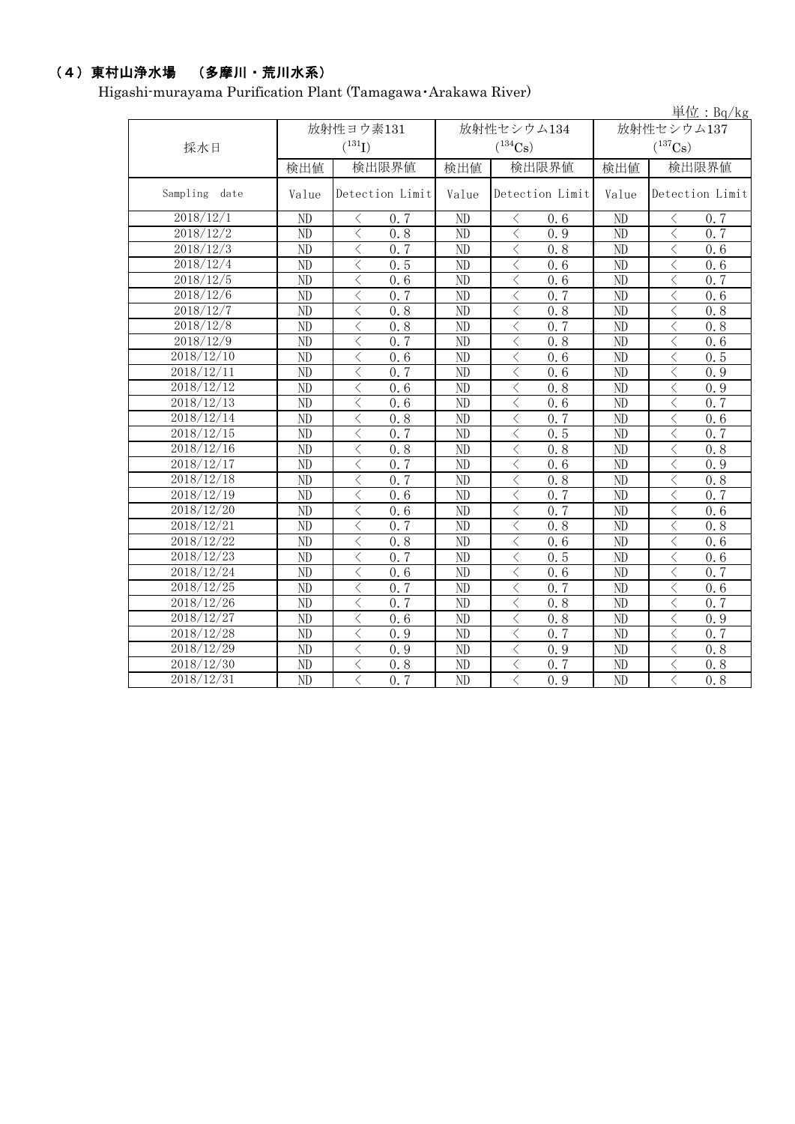# (4)東村山浄水場 (多摩川・荒川水系)

Higashi-murayama Purification Plant (Tamagawa・Arakawa River)

|                  |                          |                           |                          |                             |                                     | 単位: Bq/kg                                        |  |
|------------------|--------------------------|---------------------------|--------------------------|-----------------------------|-------------------------------------|--------------------------------------------------|--|
|                  |                          | 放射性ヨウ素131                 |                          | 放射性セシウム134                  | 放射性セシウム137<br>$(^{137}\mathrm{Cs})$ |                                                  |  |
| 採水日              |                          | $({}^{131}\mathrm{I})$    |                          | $(^{134}Cs)$                |                                     |                                                  |  |
|                  | 検出値                      | 検出限界値                     | 検出値                      | 検出限界値                       | 検出値                                 | 検出限界値                                            |  |
| Sampling<br>date | Detection Limit<br>Value |                           | Detection Limit<br>Value |                             | Value                               | Detection Limit                                  |  |
| 2018/12/1        | ND                       | 0, 7<br>$\lt$             | ND                       | 0.6<br>$\langle$            | ND                                  | 0.7<br>$\langle$                                 |  |
| 2018/12/2        | ND                       | 0.8<br>⟨                  | ND                       | $\langle$<br>0.9            | ND                                  | $\lt$<br>0, 7                                    |  |
| 2018/12/3        | ND                       | 0, 7<br>$\lt$             | ND                       | $\lt$<br>0.8                | ND                                  | $\overline{\left\langle \right\rangle }$<br>0.6  |  |
| 2018/12/4        | ND                       | $\langle$<br>0.5          | ND                       | $\lt$<br>0, 6               | ND                                  | $\langle$<br>0, 6                                |  |
| 2018/12/5        | $\overline{ND}$          | $\lt$<br>0.6              | ND                       | $\lt$<br>0.6                | ND                                  | $\langle$<br>0, 7                                |  |
| 2018/12/6        | ND                       | $\lt$<br>0.7              | ND                       | $\langle$<br>0, 7           | ND                                  | $\lt$<br>0.6                                     |  |
| 2018/12/7        | ND                       | 0.8<br>$\lt$              | ND                       | $\lt$<br>0.8                | ND                                  | $\lt$<br>0.8                                     |  |
| 2018/12/8        | ND                       | 0.8<br>$\lt$              | ND                       | $\langle$<br>0, 7           | ND                                  | $\lt$<br>0.8                                     |  |
| 2018/12/9        | ND                       | 0, 7<br>$\langle$         | ND                       | $\langle$<br>0.8            | ND                                  | $\overline{\left\langle \right\rangle }$<br>0.6  |  |
| 2018/12/10       | ND                       | $\lt$<br>0.6              | ND                       | $\langle$<br>0, 6           | ND                                  | $\langle$<br>0.5                                 |  |
| 2018/12/11       | ND                       | $\lt$<br>0, 7             | ND                       | $\overline{\langle}$<br>0.6 | ND                                  | $\lt$<br>0.9                                     |  |
| 2018/12/12       | ND                       | $\langle$<br>0.6          | ND                       | $\lt$<br>0.8                | ND                                  | $\overline{\left\langle \right\rangle }$<br>0.9  |  |
| 2018/12/13       | ND                       | $\lt$<br>0.6              | ND                       | $\langle$<br>0.6            | ND                                  | $\overline{\left\langle \right\rangle }$<br>0, 7 |  |
| 2018/12/14       | $\overline{ND}$          | $\langle$<br>0.8          | $\overline{ND}$          | $\langle$<br>0.7            | $\overline{ND}$                     | $\overline{\langle}$<br>0.6                      |  |
| 2018/12/15       | ND                       | $\langle$<br>0.7          | ND                       | $\langle$<br>0.5            | ND                                  | $\langle$<br>0.7                                 |  |
| 2018/12/16       | $\overline{ND}$          | $\langle$<br>0.8          | ND                       | $\lt$<br>0.8                | ND                                  | $\overline{\left\langle \right\rangle }$<br>0.8  |  |
| 2018/12/17       | ND                       | $\lt$<br>0, 7             | ND                       | $\langle$<br>0.6            | ND                                  | 0.9<br>$\lt$                                     |  |
| 2018/12/18       | ND                       | $0.\overline{7}$<br>$\lt$ | ND                       | $\langle$<br>0.8            | ND                                  | $\lt$<br>0.8                                     |  |
| 2018/12/19       | ND                       | $\langle$<br>0.6          | ND                       | $\langle$<br>0, 7           | ND                                  | $\lt$<br>0, 7                                    |  |
| 2018/12/20       | ND                       | 0.6<br>$\langle$          | ND                       | $\langle$<br>0.7            | ND                                  | $\langle$<br>0.6                                 |  |
| 2018/12/21       | ND                       | 0, 7<br>$\langle$         | ND                       | $\langle$<br>0.8            | ND                                  | $\langle$<br>0.8                                 |  |
| 2018/12/22       | ND                       | 0.8<br>$\langle$          | ND                       | $\lt$<br>0.6                | ND                                  | $\lt$<br>0.6                                     |  |
| 2018/12/23       | ND                       | $\langle$<br>0, 7         | ND                       | 0.5<br>$\lt$                | ND                                  | $\lt$<br>0.6                                     |  |
| 2018/12/24       | ND                       | ぐ<br>0.6                  | ND                       | 0.6<br>$\langle$            | ND                                  | 0, 7<br>ぐ                                        |  |
| 2018/12/25       | ND                       | $\lt$<br>0.7              | ND                       | $\langle$<br>0, 7           | ND                                  | $\overline{\left\langle \right\rangle }$<br>0.6  |  |
| 2018/12/26       | ND                       | $\langle$<br>0, 7         | ND                       | $\langle$<br>0.8            | ND                                  | $\overline{\left\langle \right\rangle }$<br>0, 7 |  |
| 2018/12/27       | $\overline{ND}$          | $\lt$<br>0.6              | $\overline{ND}$          | $\lt$<br>0.8                | ND                                  | $\overline{\left\langle \right\rangle }$<br>0.9  |  |
| 2018/12/28       | ND                       | $\lt$<br>0.9              | ND                       | $\lt$<br>0, 7               | ND                                  | $\lt$<br>0, 7                                    |  |
| 2018/12/29       | ND                       | $\lt$<br>0.9              | ND                       | $\lt$<br>0.9                | ND                                  | $\lt$<br>0.8                                     |  |
| 2018/12/30       | ND                       | $\lt$<br>0.8              | ND                       | $\langle$<br>0.7            | ND                                  | $\langle$<br>0.8                                 |  |
| 2018/12/31       | $\overline{\text{ND}}$   | 0, 7<br>$\lt$             | ND                       | $\langle$<br>0.9            | ND                                  | $\langle$<br>0.8                                 |  |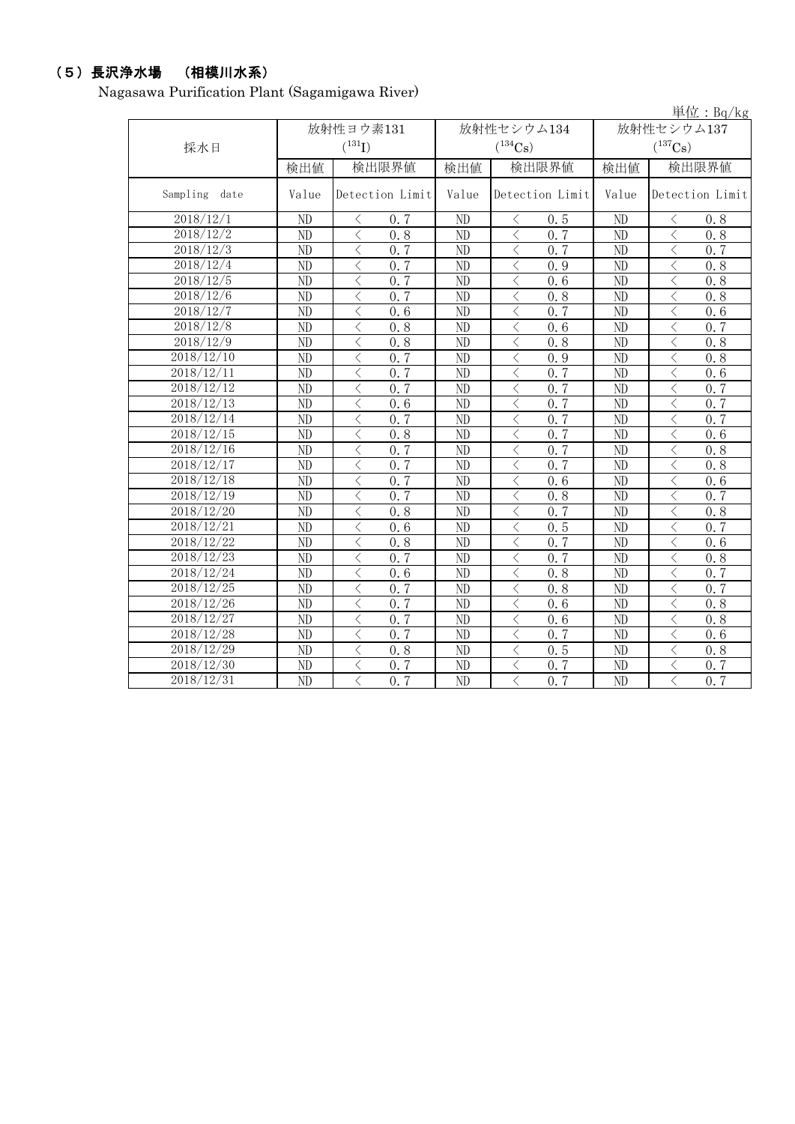# (5)長沢浄水場 (相模川水系)

Nagasawa Purification Plant (Sagamigawa River)

|                         |                 |                                                  |                 |                               |                       | 単位: $Bq/kg$                                     |  |  |
|-------------------------|-----------------|--------------------------------------------------|-----------------|-------------------------------|-----------------------|-------------------------------------------------|--|--|
|                         |                 | 放射性ヨウ素131                                        |                 | 放射性セシウム134                    | 放射性セシウム137            |                                                 |  |  |
| 採水日                     |                 | $(^{131}I)$<br>$(^{134}\mathrm{Cs})$             |                 |                               | $(^{137}\mathrm{Cs})$ |                                                 |  |  |
|                         | 検出値             | 検出限界値                                            | 検出値             | 検出限界値                         | 検出値                   | 検出限界値                                           |  |  |
| Sampling<br>date        | Value           | Detection Limit                                  | Value           | Detection Limit               | Value                 | Detection Limit                                 |  |  |
| 2018/12/1               | ND              | 0.7<br>く                                         | ND              | 0.5<br>⟨                      | ND                    | 0.8<br>⟨                                        |  |  |
| 2018/12/2               | ND              | $\lt$<br>0.8                                     | ND              | $\langle$<br>0.7              | ND                    | $\,$ $\,$<br>0.8                                |  |  |
| 2018/12/3               | ND              | $\lt$<br>0, 7                                    | ND              | $\lt$<br>0.7                  | ND                    | $\overline{\langle}$<br>0, 7                    |  |  |
| 2018/12/4               | ND              | $\lt$<br>0, 7                                    | ND              | $\langle$<br>0.9              | ND                    | $\lt$<br>0.8                                    |  |  |
| 2018/12/5               | ND              | $\lt$<br>0.7                                     | ND              | $\langle$<br>0.6              | ND                    | $\lt$<br>0.8                                    |  |  |
| 2018/12/6               | ND              | $\lt$<br>0.7                                     | ND              | $\langle$<br>0.8              | ND                    | $\lt$<br>0.8                                    |  |  |
| 2018/12/7               | ND              | $\lt$<br>0.6                                     | ND              | $\langle$<br>0.7              | ND                    | 0.6<br>$\lt$                                    |  |  |
| 2018/12/8               | ND              | $\lt$<br>0.8                                     | ND              | $\langle$<br>0.6              | ND                    | $\lt$<br>0.7                                    |  |  |
| 2018/12/9               | ND              | 0.8<br>$\lt$                                     | ND              | $\langle$<br>0.8              | ND                    | $\langle$<br>0, 8                               |  |  |
| 2018/12/10              | ND              | 0.7<br>$\lt$                                     | ND              | $\lt$<br>0.9                  | $\overline{ND}$       | $\langle$<br>0.8                                |  |  |
| 2018/12/11              | ND              | 0, 7<br>$\langle$                                | ND              | 0, 7<br>$\langle$             | ND                    | $\lt$<br>0.6                                    |  |  |
| 2018/12/12              | ND              | $\overline{\left\langle \right\rangle }$<br>0, 7 | ND              | $\langle$<br>0.7              | N <sub>D</sub>        | $\overline{\left\langle \right\rangle }$<br>0.7 |  |  |
| 2018/12/13              | ND              | $\langle$<br>$\overline{0.6}$                    | ND              | $\langle$<br>0, 7             | ND                    | $\langle$<br>0.7                                |  |  |
| 2018/12/14              | $\overline{ND}$ | $\langle$<br>0.7                                 | $\overline{ND}$ | $\langle$<br>0.7              | $\overline{ND}$       | $\overline{\langle}$<br>0, 7                    |  |  |
| 2018/12/15              | ND              | $\langle$<br>0, 8                                | ND              | $\langle$<br>0, 7             | ND                    | $\langle$<br>$\overline{0.6}$                   |  |  |
| 2018/12/16              | ND              | 0.7<br>$\lt$                                     | ND              | 0.7<br>$\langle$              | ND                    | $\lt$<br>0.8                                    |  |  |
| 2018/12/17              | ND              | $\lt$<br>0, 7                                    | ND              | $\langle$<br>0.7              | ND                    | $\lt$<br>0.8                                    |  |  |
| 2018/12/18              | ND              | $0, \overline{7}$<br>$\lt$                       | ND              | $\langle$<br>0.6              | ND                    | $\lt$<br>0.6                                    |  |  |
| 2018/12/19              | ND              | 0, 7<br>$\langle$                                | ND              | $\langle$<br>0.8              | ND                    | $\lt$<br>0, 7                                   |  |  |
| 2018/12/20              | ND              | 0.8<br>$\lt$                                     | ND              | $\lt$<br>0, 7                 | ND                    | $\lt$<br>0.8                                    |  |  |
| 2018/12/21              | ND              | $\lt$<br>0.6                                     | ND              | 0.5<br>$\langle$              | ND                    | $\lt$<br>0.7                                    |  |  |
| 2018/12/22              | ND              | $\lt$<br>0.8                                     | ND              | 0, 7<br>$\langle$             | ND                    | $\lt$<br>0.6                                    |  |  |
| 2018/12/23              | ND              | $\lt$<br>0, 7                                    | ND              | 0.7<br>$\lt$                  | ND                    | $\lt$<br>0.8                                    |  |  |
| 2018/12/24              | ND              | $\lt$<br>0.6                                     | ND              | $\lt$<br>0.8                  | ND                    | $\langle$<br>0, 7                               |  |  |
| $\overline{2018}/12/25$ | ND              | $\langle$<br>0.7                                 | ND              | $\,$ $\,$ $\,$<br>0.8         | ND                    | $\langle$<br>0.7                                |  |  |
| 2018/12/26              | ND              | $\lt$<br>0, 7                                    | ND              | $\langle$<br>0, 6             | ND                    | $\langle$<br>0, 8                               |  |  |
| 2018/12/27              | ND              | $\lt$<br>0.7                                     | ND              | $\langle$<br>0.6              | ND                    | 0.8<br>$\lt$                                    |  |  |
| 2018/12/28              | ND              | $\lt$<br>0.7                                     | ND              | $\langle$<br>0.7              | ND                    | $\lt$<br>0.6                                    |  |  |
| 2018/12/29              | ND              | $\langle$<br>0.8                                 | ND              | $\lt$<br>0.5                  | ND                    | $\lt$<br>0.8                                    |  |  |
| 2018/12/30              | ND              | 0.7<br>$\lt$                                     | ND              | $\langle$<br>0.7              | ND                    | $\lt$<br>0.7                                    |  |  |
| 2018/12/31              | ND              | 0, 7<br>$\langle$                                | ND              | $\langle$<br>$0.\overline{7}$ | ND                    | $\langle$<br>0.7                                |  |  |